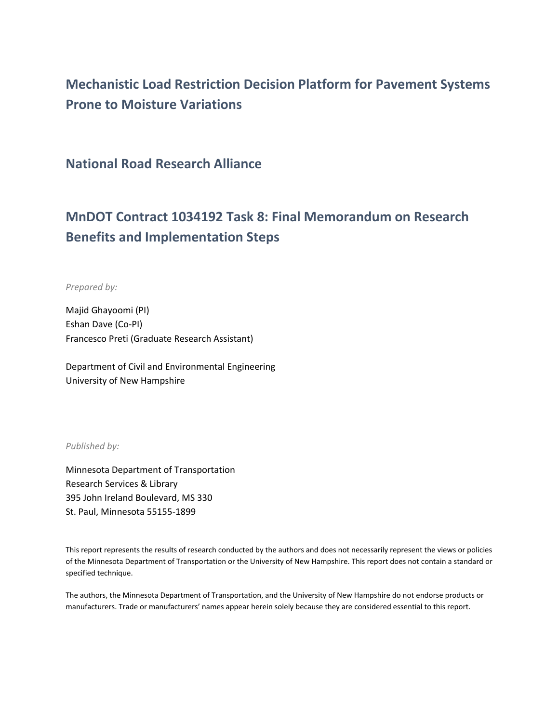# **Mechanistic Load Restriction Decision Platform for Pavement Systems Prone to Moisture Variations**

**National Road Research Alliance**

# **MnDOT Contract 1034192 Task 8: Final Memorandum on Research Benefits and Implementation Steps**

*Prepared by:*

Majid Ghayoomi (PI) Eshan Dave (Co-PI) Francesco Preti (Graduate Research Assistant)

Department of Civil and Environmental Engineering University of New Hampshire

*Published by:*

Minnesota Department of Transportation Research Services & Library 395 John Ireland Boulevard, MS 330 St. Paul, Minnesota 55155-1899

This report represents the results of research conducted by the authors and does not necessarily represent the views or policies of the Minnesota Department of Transportation or the University of New Hampshire. This report does not contain a standard or specified technique.

The authors, the Minnesota Department of Transportation, and the University of New Hampshire do not endorse products or manufacturers. Trade or manufacturers' names appear herein solely because they are considered essential to this report.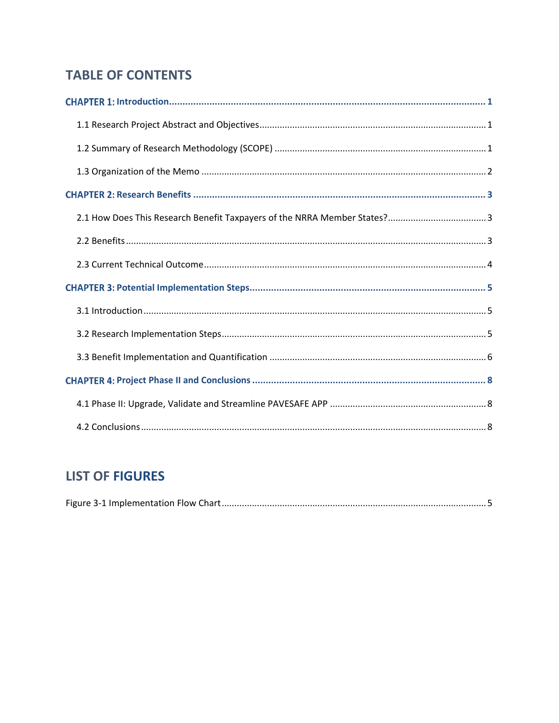## **TABLE OF CONTENTS**

# **LIST OF FIGURES**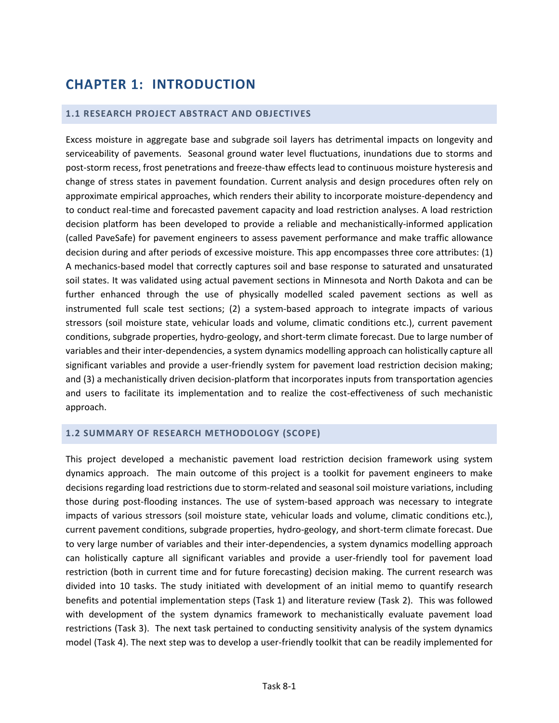# <span id="page-2-0"></span>**CHAPTER 1: INTRODUCTION**

#### <span id="page-2-1"></span>**1.1 RESEARCH PROJECT ABSTRACT AND OBJECTIVES**

Excess moisture in aggregate base and subgrade soil layers has detrimental impacts on longevity and serviceability of pavements. Seasonal ground water level fluctuations, inundations due to storms and post-storm recess, frost penetrations and freeze-thaw effects lead to continuous moisture hysteresis and change of stress states in pavement foundation. Current analysis and design procedures often rely on approximate empirical approaches, which renders their ability to incorporate moisture-dependency and to conduct real-time and forecasted pavement capacity and load restriction analyses. A load restriction decision platform has been developed to provide a reliable and mechanistically-informed application (called PaveSafe) for pavement engineers to assess pavement performance and make traffic allowance decision during and after periods of excessive moisture. This app encompasses three core attributes: (1) A mechanics-based model that correctly captures soil and base response to saturated and unsaturated soil states. It was validated using actual pavement sections in Minnesota and North Dakota and can be further enhanced through the use of physically modelled scaled pavement sections as well as instrumented full scale test sections; (2) a system-based approach to integrate impacts of various stressors (soil moisture state, vehicular loads and volume, climatic conditions etc.), current pavement conditions, subgrade properties, hydro-geology, and short-term climate forecast. Due to large number of variables and their inter-dependencies, a system dynamics modelling approach can holistically capture all significant variables and provide a user-friendly system for pavement load restriction decision making; and (3) a mechanistically driven decision-platform that incorporates inputs from transportation agencies and users to facilitate its implementation and to realize the cost-effectiveness of such mechanistic approach.

#### <span id="page-2-2"></span>**1.2 SUMMARY OF RESEARCH METHODOLOGY (SCOPE)**

This project developed a mechanistic pavement load restriction decision framework using system dynamics approach. The main outcome of this project is a toolkit for pavement engineers to make decisions regarding load restrictions due to storm-related and seasonal soil moisture variations, including those during post-flooding instances. The use of system-based approach was necessary to integrate impacts of various stressors (soil moisture state, vehicular loads and volume, climatic conditions etc.), current pavement conditions, subgrade properties, hydro-geology, and short-term climate forecast. Due to very large number of variables and their inter-dependencies, a system dynamics modelling approach can holistically capture all significant variables and provide a user-friendly tool for pavement load restriction (both in current time and for future forecasting) decision making. The current research was divided into 10 tasks. The study initiated with development of an initial memo to quantify research benefits and potential implementation steps (Task 1) and literature review (Task 2). This was followed with development of the system dynamics framework to mechanistically evaluate pavement load restrictions (Task 3). The next task pertained to conducting sensitivity analysis of the system dynamics model (Task 4). The next step was to develop a user-friendly toolkit that can be readily implemented for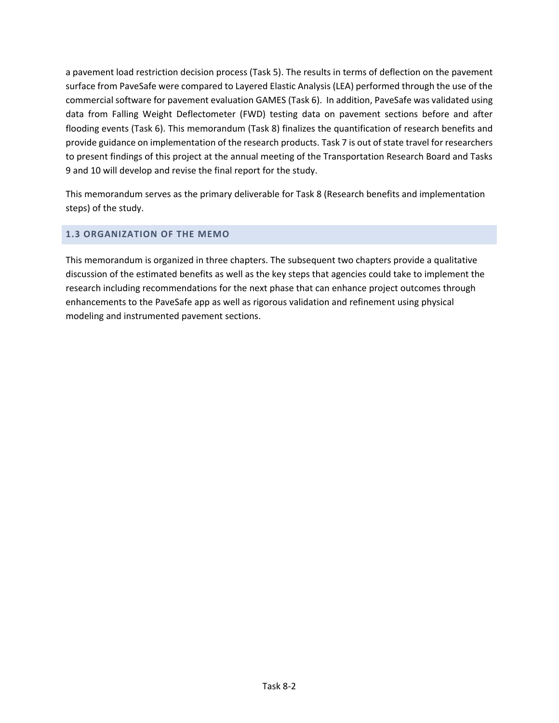a pavement load restriction decision process (Task 5). The results in terms of deflection on the pavement surface from PaveSafe were compared to Layered Elastic Analysis (LEA) performed through the use of the commercial software for pavement evaluation GAMES (Task 6). In addition, PaveSafe was validated using data from Falling Weight Deflectometer (FWD) testing data on pavement sections before and after flooding events (Task 6). This memorandum (Task 8) finalizes the quantification of research benefits and provide guidance on implementation of the research products. Task 7 is out of state travel for researchers to present findings of this project at the annual meeting of the Transportation Research Board and Tasks 9 and 10 will develop and revise the final report for the study.

This memorandum serves as the primary deliverable for Task 8 (Research benefits and implementation steps) of the study.

### <span id="page-3-0"></span>**1.3 ORGANIZATION OF THE MEMO**

This memorandum is organized in three chapters. The subsequent two chapters provide a qualitative discussion of the estimated benefits as well as the key steps that agencies could take to implement the research including recommendations for the next phase that can enhance project outcomes through enhancements to the PaveSafe app as well as rigorous validation and refinement using physical modeling and instrumented pavement sections.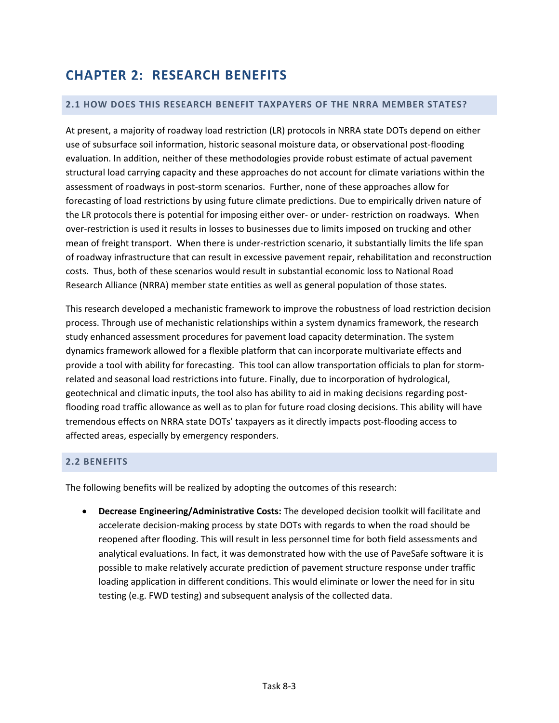## <span id="page-4-0"></span>**CHAPTER 2: RESEARCH BENEFITS**

#### <span id="page-4-1"></span>**2.1 HOW DOES THIS RESEARCH BENEFIT TAXPAYERS OF THE NRRA MEMBER STATES?**

At present, a majority of roadway load restriction (LR) protocols in NRRA state DOTs depend on either use of subsurface soil information, historic seasonal moisture data, or observational post-flooding evaluation. In addition, neither of these methodologies provide robust estimate of actual pavement structural load carrying capacity and these approaches do not account for climate variations within the assessment of roadways in post-storm scenarios. Further, none of these approaches allow for forecasting of load restrictions by using future climate predictions. Due to empirically driven nature of the LR protocols there is potential for imposing either over- or under- restriction on roadways. When over-restriction is used it results in losses to businesses due to limits imposed on trucking and other mean of freight transport. When there is under-restriction scenario, it substantially limits the life span of roadway infrastructure that can result in excessive pavement repair, rehabilitation and reconstruction costs. Thus, both of these scenarios would result in substantial economic loss to National Road Research Alliance (NRRA) member state entities as well as general population of those states.

This research developed a mechanistic framework to improve the robustness of load restriction decision process. Through use of mechanistic relationships within a system dynamics framework, the research study enhanced assessment procedures for pavement load capacity determination. The system dynamics framework allowed for a flexible platform that can incorporate multivariate effects and provide a tool with ability for forecasting. This tool can allow transportation officials to plan for stormrelated and seasonal load restrictions into future. Finally, due to incorporation of hydrological, geotechnical and climatic inputs, the tool also has ability to aid in making decisions regarding postflooding road traffic allowance as well as to plan for future road closing decisions. This ability will have tremendous effects on NRRA state DOTs' taxpayers as it directly impacts post-flooding access to affected areas, especially by emergency responders.

### <span id="page-4-2"></span>**2.2 BENEFITS**

The following benefits will be realized by adopting the outcomes of this research:

 **Decrease Engineering/Administrative Costs:** The developed decision toolkit will facilitate and accelerate decision-making process by state DOTs with regards to when the road should be reopened after flooding. This will result in less personnel time for both field assessments and analytical evaluations. In fact, it was demonstrated how with the use of PaveSafe software it is possible to make relatively accurate prediction of pavement structure response under traffic loading application in different conditions. This would eliminate or lower the need for in situ testing (e.g. FWD testing) and subsequent analysis of the collected data.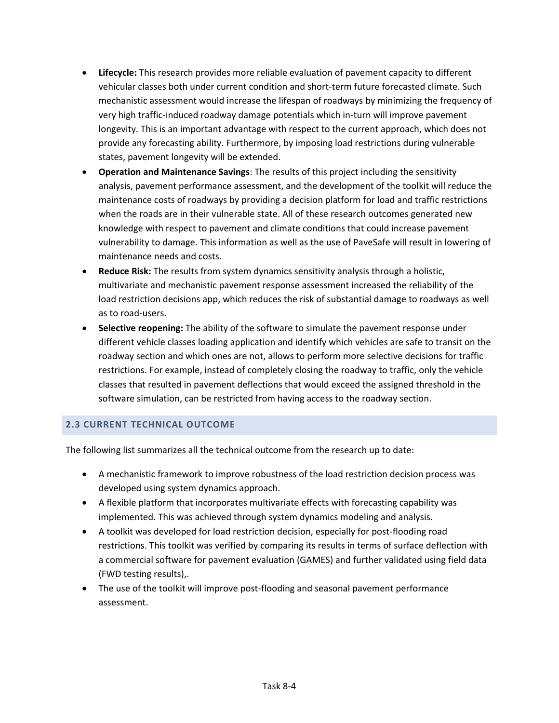- **Lifecycle:** This research provides more reliable evaluation of pavement capacity to different vehicular classes both under current condition and short-term future forecasted climate. Such mechanistic assessment would increase the lifespan of roadways by minimizing the frequency of very high traffic-induced roadway damage potentials which in-turn will improve pavement longevity. This is an important advantage with respect to the current approach, which does not provide any forecasting ability. Furthermore, by imposing load restrictions during vulnerable states, pavement longevity will be extended.
- **Operation and Maintenance Savings**: The results of this project including the sensitivity analysis, pavement performance assessment, and the development of the toolkit will reduce the maintenance costs of roadways by providing a decision platform for load and traffic restrictions when the roads are in their vulnerable state. All of these research outcomes generated new knowledge with respect to pavement and climate conditions that could increase pavement vulnerability to damage. This information as well as the use of PaveSafe will result in lowering of maintenance needs and costs.
- **Reduce Risk:** The results from system dynamics sensitivity analysis through a holistic, multivariate and mechanistic pavement response assessment increased the reliability of the load restriction decisions app, which reduces the risk of substantial damage to roadways as well as to road-users.
- **Selective reopening:** The ability of the software to simulate the pavement response under different vehicle classes loading application and identify which vehicles are safe to transit on the roadway section and which ones are not, allows to perform more selective decisions for traffic restrictions. For example, instead of completely closing the roadway to traffic, only the vehicle classes that resulted in pavement deflections that would exceed the assigned threshold in the software simulation, can be restricted from having access to the roadway section.

## <span id="page-5-0"></span>**2.3 CURRENT TECHNICAL OUTCOME**

The following list summarizes all the technical outcome from the research up to date:

- A mechanistic framework to improve robustness of the load restriction decision process was developed using system dynamics approach.
- A flexible platform that incorporates multivariate effects with forecasting capability was implemented. This was achieved through system dynamics modeling and analysis.
- A toolkit was developed for load restriction decision, especially for post-flooding road restrictions. This toolkit was verified by comparing its results in terms of surface deflection with a commercial software for pavement evaluation (GAMES) and further validated using field data (FWD testing results),.
- The use of the toolkit will improve post-flooding and seasonal pavement performance assessment.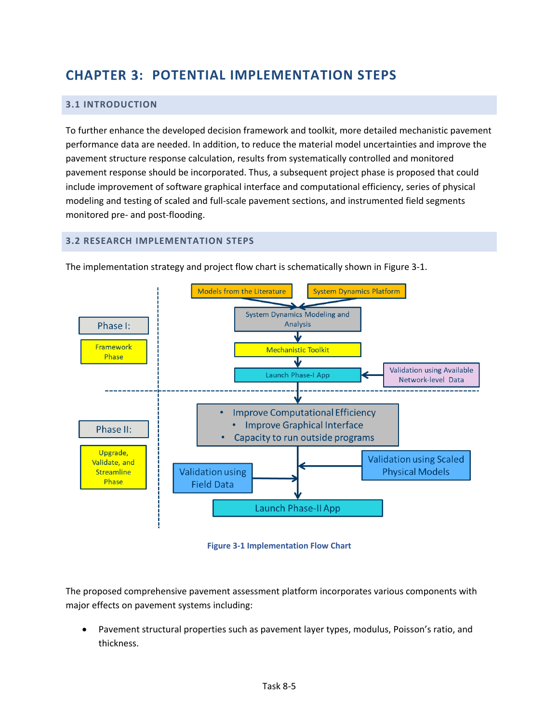## <span id="page-6-0"></span>**CHAPTER 3: POTENTIAL IMPLEMENTATION STEPS**

### <span id="page-6-1"></span>**3.1 INTRODUCTION**

To further enhance the developed decision framework and toolkit, more detailed mechanistic pavement performance data are needed. In addition, to reduce the material model uncertainties and improve the pavement structure response calculation, results from systematically controlled and monitored pavement response should be incorporated. Thus, a subsequent project phase is proposed that could include improvement of software graphical interface and computational efficiency, series of physical modeling and testing of scaled and full-scale pavement sections, and instrumented field segments monitored pre- and post-flooding.

#### <span id="page-6-2"></span>**3.2 RESEARCH IMPLEMENTATION STEPS**



The implementation strategy and project flow chart is schematically shown in [Figure 3-1.](#page-6-3)

**Figure 3-1 Implementation Flow Chart**

<span id="page-6-3"></span>The proposed comprehensive pavement assessment platform incorporates various components with major effects on pavement systems including:

 Pavement structural properties such as pavement layer types, modulus, Poisson's ratio, and thickness.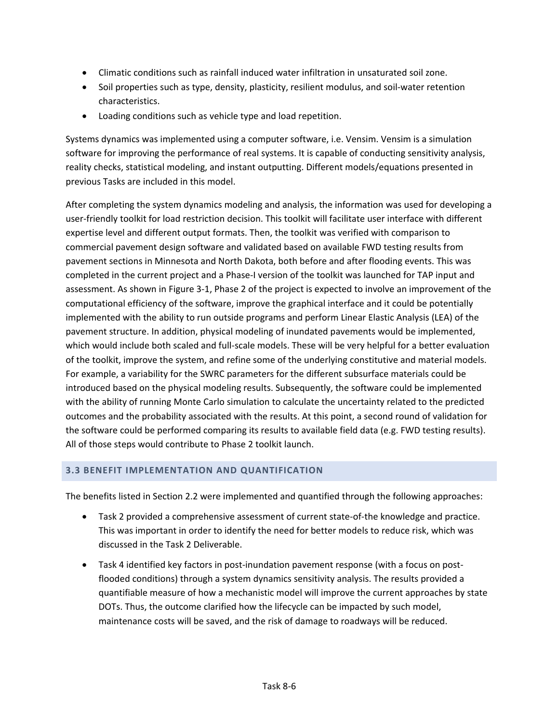- Climatic conditions such as rainfall induced water infiltration in unsaturated soil zone.
- Soil properties such as type, density, plasticity, resilient modulus, and soil-water retention characteristics.
- Loading conditions such as vehicle type and load repetition.

Systems dynamics was implemented using a computer software, i.e. Vensim. Vensim is a simulation software for improving the performance of real systems. It is capable of conducting sensitivity analysis, reality checks, statistical modeling, and instant outputting. Different models/equations presented in previous Tasks are included in this model.

After completing the system dynamics modeling and analysis, the information was used for developing a user-friendly toolkit for load restriction decision. This toolkit will facilitate user interface with different expertise level and different output formats. Then, the toolkit was verified with comparison to commercial pavement design software and validated based on available FWD testing results from pavement sections in Minnesota and North Dakota, both before and after flooding events. This was completed in the current project and a Phase-I version of the toolkit was launched for TAP input and assessment. As shown in [Figure 3-1,](#page-6-3) Phase 2 of the project is expected to involve an improvement of the computational efficiency of the software, improve the graphical interface and it could be potentially implemented with the ability to run outside programs and perform Linear Elastic Analysis (LEA) of the pavement structure. In addition, physical modeling of inundated pavements would be implemented, which would include both scaled and full-scale models. These will be very helpful for a better evaluation of the toolkit, improve the system, and refine some of the underlying constitutive and material models. For example, a variability for the SWRC parameters for the different subsurface materials could be introduced based on the physical modeling results. Subsequently, the software could be implemented with the ability of running Monte Carlo simulation to calculate the uncertainty related to the predicted outcomes and the probability associated with the results. At this point, a second round of validation for the software could be performed comparing its results to available field data (e.g. FWD testing results). All of those steps would contribute to Phase 2 toolkit launch.

### <span id="page-7-0"></span>**3.3 BENEFIT IMPLEMENTATION AND QUANTIFICATION**

The benefits listed in Section [2.2 w](#page-4-2)ere implemented and quantified through the following approaches:

- Task 2 provided a comprehensive assessment of current state-of-the knowledge and practice. This was important in order to identify the need for better models to reduce risk, which was discussed in the Task 2 Deliverable.
- Task 4 identified key factors in post-inundation pavement response (with a focus on postflooded conditions) through a system dynamics sensitivity analysis. The results provided a quantifiable measure of how a mechanistic model will improve the current approaches by state DOTs. Thus, the outcome clarified how the lifecycle can be impacted by such model, maintenance costs will be saved, and the risk of damage to roadways will be reduced.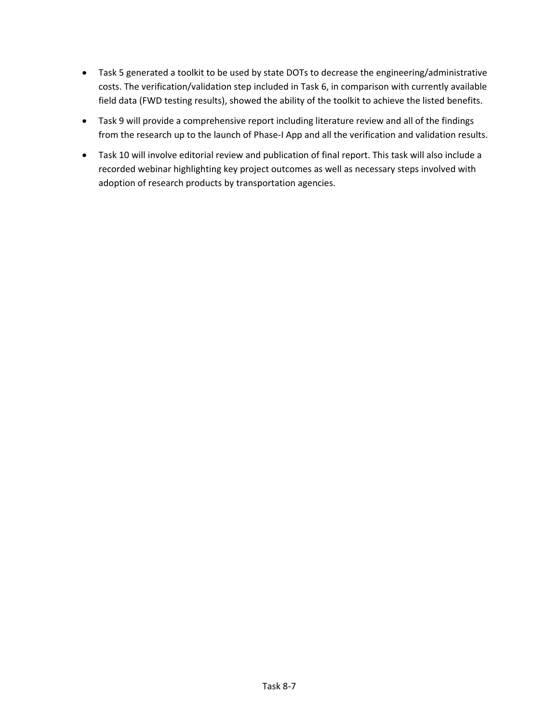- Task 5 generated a toolkit to be used by state DOTs to decrease the engineering/administrative costs. The verification/validation step included in Task 6, in comparison with currently available field data (FWD testing results), showed the ability of the toolkit to achieve the listed benefits.
- Task 9 will provide a comprehensive report including literature review and all of the findings from the research up to the launch of Phase-I App and all the verification and validation results.
- Task 10 will involve editorial review and publication of final report. This task will also include a recorded webinar highlighting key project outcomes as well as necessary steps involved with adoption of research products by transportation agencies.